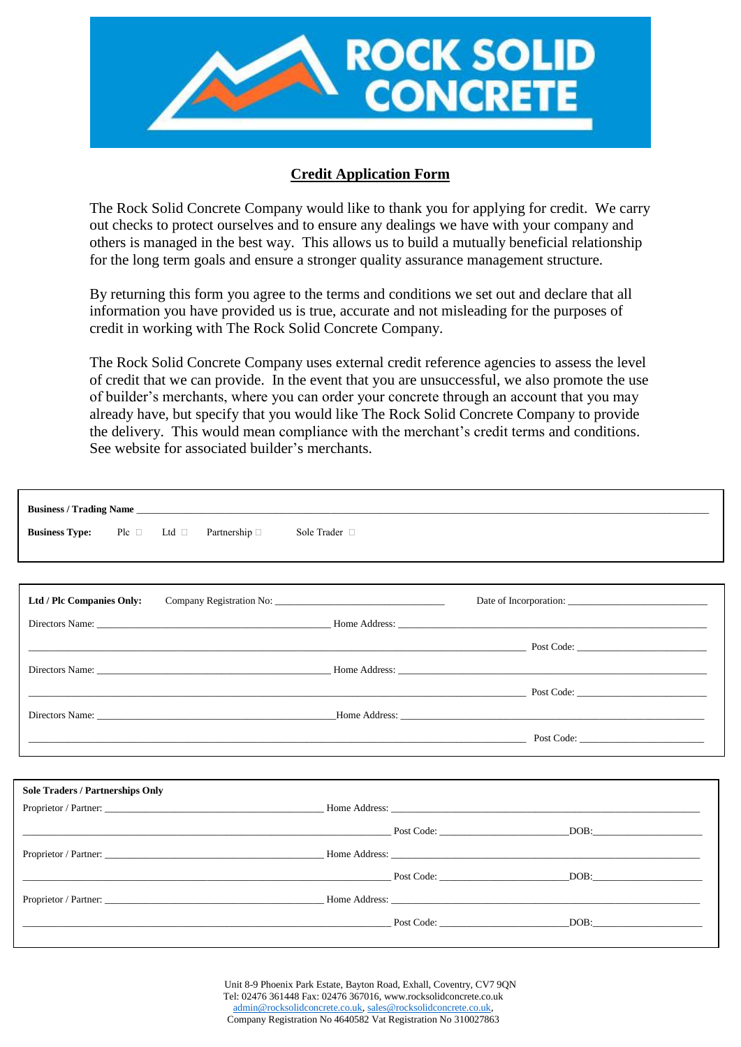

### **Credit Application Form**

The Rock Solid Concrete Company would like to thank you for applying for credit. We carry out checks to protect ourselves and to ensure any dealings we have with your company and others is managed in the best way. This allows us to build a mutually beneficial relationship for the long term goals and ensure a stronger quality assurance management structure.

By returning this form you agree to the terms and conditions we set out and declare that all information you have provided us is true, accurate and not misleading for the purposes of credit in working with The Rock Solid Concrete Company.

The Rock Solid Concrete Company uses external credit reference agencies to assess the level of credit that we can provide. In the event that you are unsuccessful, we also promote the use of builder's merchants, where you can order your concrete through an account that you may already have, but specify that you would like The Rock Solid Concrete Company to provide the delivery. This would mean compliance with the merchant's credit terms and conditions. See website for associated builder's merchants.

|                                         | <b>Business / Trading Name</b>   |               |                                                                                                                                                                                                                                                                                                               |
|-----------------------------------------|----------------------------------|---------------|---------------------------------------------------------------------------------------------------------------------------------------------------------------------------------------------------------------------------------------------------------------------------------------------------------------|
| <b>Business Type:</b><br>$Pic$ $\Box$   | Ltd $\Box$<br>Partnership $\Box$ | Sole Trader □ |                                                                                                                                                                                                                                                                                                               |
|                                         |                                  |               |                                                                                                                                                                                                                                                                                                               |
| Ltd / Plc Companies Only:               |                                  |               |                                                                                                                                                                                                                                                                                                               |
|                                         |                                  |               |                                                                                                                                                                                                                                                                                                               |
|                                         |                                  |               | $Post Code:$ $Dost Code:$ $Dost Code:$ $Dost Code:$ $Dost Code:$                                                                                                                                                                                                                                              |
|                                         |                                  |               |                                                                                                                                                                                                                                                                                                               |
|                                         |                                  |               | $\Box$ Post Code: $\Box$                                                                                                                                                                                                                                                                                      |
|                                         |                                  |               |                                                                                                                                                                                                                                                                                                               |
|                                         |                                  |               | Post Code:                                                                                                                                                                                                                                                                                                    |
|                                         |                                  |               |                                                                                                                                                                                                                                                                                                               |
| <b>Sole Traders / Partnerships Only</b> |                                  |               |                                                                                                                                                                                                                                                                                                               |
|                                         |                                  |               |                                                                                                                                                                                                                                                                                                               |
|                                         |                                  |               |                                                                                                                                                                                                                                                                                                               |
|                                         |                                  |               |                                                                                                                                                                                                                                                                                                               |
|                                         |                                  |               |                                                                                                                                                                                                                                                                                                               |
|                                         |                                  |               |                                                                                                                                                                                                                                                                                                               |
|                                         |                                  |               | <b>Post Code:</b> Post Code: DOB:<br>$Post Code:$ $DOB:$ $DOB:$ $DOB:$ $DOB:$ $DOB:$ $DOB:$ $DOB:$ $DOB:$ $DOB:$ $DOB:$ $DOB:$ $DOB:$ $DOB:$ $DOB:$ $DOB:$ $DOB:$ $DOB:$ $DOB:$ $DOB:$ $DOB:$ $DOB:$ $DOB:$ $DOB:$ $DOB:$ $DOB:$ $DOB:$ $DOB:$ $DOB:$ $DOB:$ $DOB:$ $DOB:$ $DOB:$ $DOB:$ $DOB:$ $DOB:$ $DOB:$ |

Unit 8-9 Phoenix Park Estate, Bayton Road, Exhall, Coventry, CV7 9QN Tel: 02476 361448 Fax: 02476 367016, www.rocksolidconcrete.co.uk [admin@rocksolidconcrete.co.uk,](mailto:admin@rocksolidconcrete.co.uk) [sales@rocksolidconcrete.co.uk,](mailto:sales@rocksolidconcrete.co.uk) Company Registration No 4640582 Vat Registration No 310027863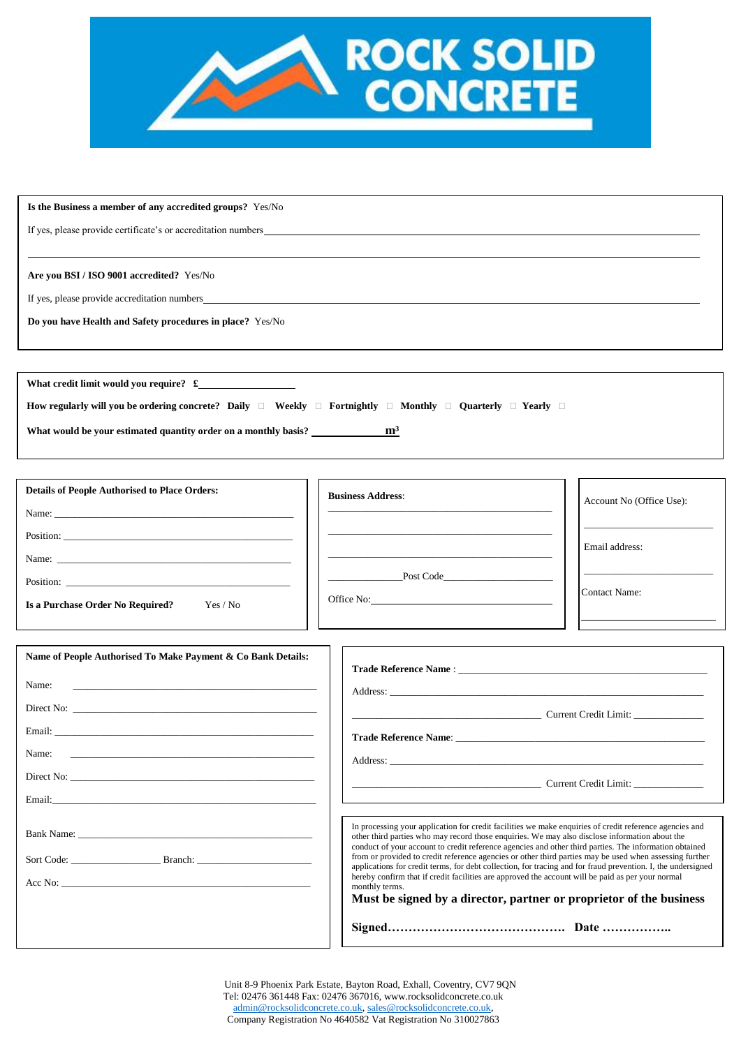

#### **Is the Business a member of any accredited groups?** Yes/No

If yes, please provide certificate's or accreditation numbers

**Are you BSI / ISO 9001 accredited?** Yes/No

If yes, please provide accreditation numbers

**Do you have Health and Safety procedures in place?** Yes/No

**What credit limit would you require? £ How regularly will you be ordering concrete? Daily**  $\Box$  **Weekly**  $\Box$  **Fortnightly**  $\Box$  **Monthly**  $\Box$  **Quarterly**  $\Box$  **Yearly**  $\Box$ **What would be your estimated quantity order on a monthly basis? m³**

| <b>Details of People Authorised to Place Orders:</b> | <b>Business Address:</b> | Account No (Office Use): |
|------------------------------------------------------|--------------------------|--------------------------|
|                                                      |                          |                          |
|                                                      |                          | Email address:           |
|                                                      |                          |                          |
|                                                      | Post Code                | Contact Name:            |
| Is a Purchase Order No Required?<br>Yes / No         |                          |                          |
|                                                      |                          |                          |

ח ר

| Name of People Authorised To Make Payment & Co Bank Details: |                                                                                                                                                                                                                                                                                                                              |
|--------------------------------------------------------------|------------------------------------------------------------------------------------------------------------------------------------------------------------------------------------------------------------------------------------------------------------------------------------------------------------------------------|
| Name:                                                        | Trade Reference Name: The contract of the state of the state of the state of the state of the state of the state of the state of the state of the state of the state of the state of the state of the state of the state of th                                                                                               |
|                                                              | <b>Current Credit Limit:</b>                                                                                                                                                                                                                                                                                                 |
|                                                              |                                                                                                                                                                                                                                                                                                                              |
|                                                              |                                                                                                                                                                                                                                                                                                                              |
|                                                              |                                                                                                                                                                                                                                                                                                                              |
|                                                              |                                                                                                                                                                                                                                                                                                                              |
|                                                              | In processing your application for credit facilities we make enquiries of credit reference agencies and<br>other third parties who may record those enquiries. We may also disclose information about the<br>conduct of your account to credit reference agencies and other third parties. The information obtained          |
| Sort Code: Branch: Branch:                                   | from or provided to credit reference agencies or other third parties may be used when assessing further<br>applications for credit terms, for debt collection, for tracing and for fraud prevention. I, the undersigned<br>hereby confirm that if credit facilities are approved the account will be paid as per your normal |
|                                                              | monthly terms.<br>Must be signed by a director, partner or proprietor of the business                                                                                                                                                                                                                                        |
|                                                              |                                                                                                                                                                                                                                                                                                                              |

Unit 8-9 Phoenix Park Estate, Bayton Road, Exhall, Coventry, CV7 9QN Tel: 02476 361448 Fax: 02476 367016, www.rocksolidconcrete.co.uk [admin@rocksolidconcrete.co.uk,](mailto:admin@rocksolidconcrete.co.uk) [sales@rocksolidconcrete.co.uk,](mailto:sales@rocksolidconcrete.co.uk) Company Registration No 4640582 Vat Registration No 310027863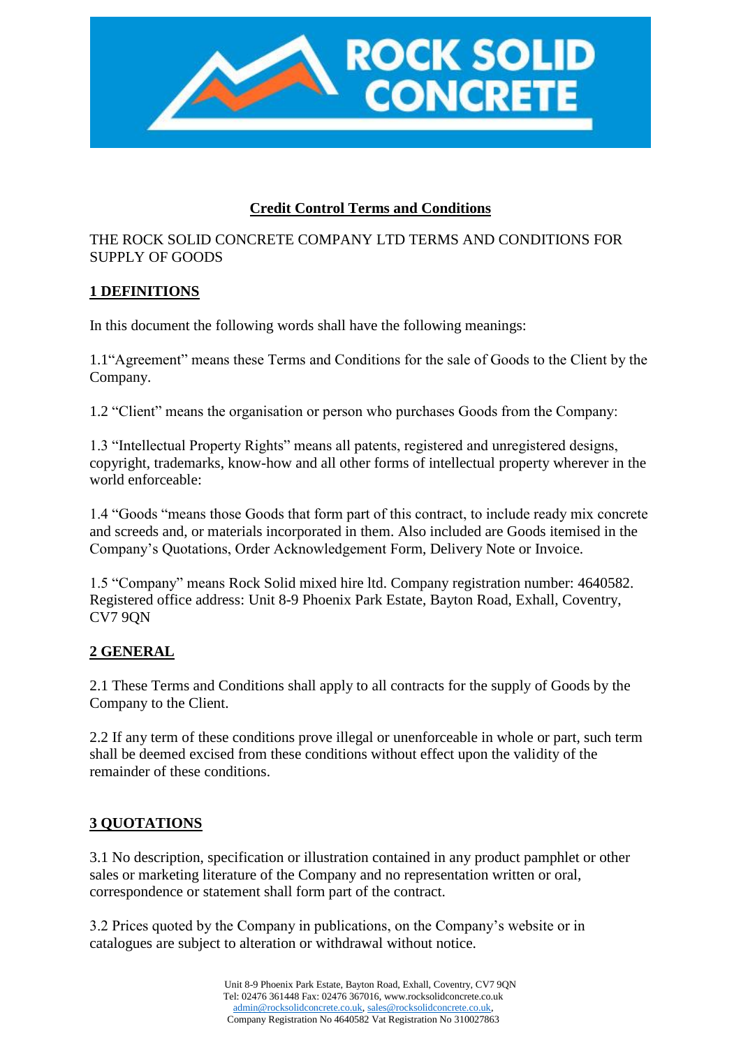

# **Credit Control Terms and Conditions**

# THE ROCK SOLID CONCRETE COMPANY LTD TERMS AND CONDITIONS FOR SUPPLY OF GOODS

# **1 DEFINITIONS**

In this document the following words shall have the following meanings:

1.1"Agreement" means these Terms and Conditions for the sale of Goods to the Client by the Company.

1.2 "Client" means the organisation or person who purchases Goods from the Company:

1.3 "Intellectual Property Rights" means all patents, registered and unregistered designs, copyright, trademarks, know-how and all other forms of intellectual property wherever in the world enforceable:

1.4 "Goods "means those Goods that form part of this contract, to include ready mix concrete and screeds and, or materials incorporated in them. Also included are Goods itemised in the Company's Quotations, Order Acknowledgement Form, Delivery Note or Invoice.

1.5 "Company" means Rock Solid mixed hire ltd. Company registration number: 4640582. Registered office address: Unit 8-9 Phoenix Park Estate, Bayton Road, Exhall, Coventry, CV7 9QN

### **2 GENERAL**

2.1 These Terms and Conditions shall apply to all contracts for the supply of Goods by the Company to the Client.

2.2 If any term of these conditions prove illegal or unenforceable in whole or part, such term shall be deemed excised from these conditions without effect upon the validity of the remainder of these conditions.

# **3 QUOTATIONS**

3.1 No description, specification or illustration contained in any product pamphlet or other sales or marketing literature of the Company and no representation written or oral, correspondence or statement shall form part of the contract.

3.2 Prices quoted by the Company in publications, on the Company's website or in catalogues are subject to alteration or withdrawal without notice.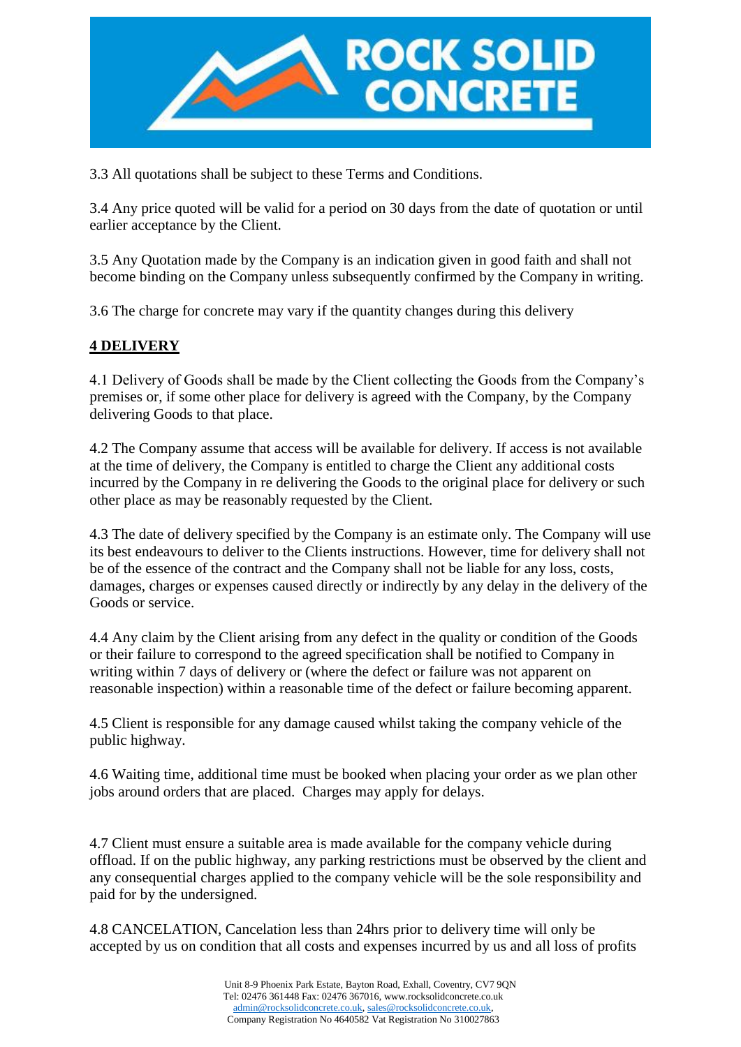

3.3 All quotations shall be subject to these Terms and Conditions.

3.4 Any price quoted will be valid for a period on 30 days from the date of quotation or until earlier acceptance by the Client.

3.5 Any Quotation made by the Company is an indication given in good faith and shall not become binding on the Company unless subsequently confirmed by the Company in writing.

3.6 The charge for concrete may vary if the quantity changes during this delivery

# **4 DELIVERY**

4.1 Delivery of Goods shall be made by the Client collecting the Goods from the Company's premises or, if some other place for delivery is agreed with the Company, by the Company delivering Goods to that place.

4.2 The Company assume that access will be available for delivery. If access is not available at the time of delivery, the Company is entitled to charge the Client any additional costs incurred by the Company in re delivering the Goods to the original place for delivery or such other place as may be reasonably requested by the Client.

4.3 The date of delivery specified by the Company is an estimate only. The Company will use its best endeavours to deliver to the Clients instructions. However, time for delivery shall not be of the essence of the contract and the Company shall not be liable for any loss, costs, damages, charges or expenses caused directly or indirectly by any delay in the delivery of the Goods or service.

4.4 Any claim by the Client arising from any defect in the quality or condition of the Goods or their failure to correspond to the agreed specification shall be notified to Company in writing within 7 days of delivery or (where the defect or failure was not apparent on reasonable inspection) within a reasonable time of the defect or failure becoming apparent.

4.5 Client is responsible for any damage caused whilst taking the company vehicle of the public highway.

4.6 Waiting time, additional time must be booked when placing your order as we plan other jobs around orders that are placed. Charges may apply for delays.

4.7 Client must ensure a suitable area is made available for the company vehicle during offload. If on the public highway, any parking restrictions must be observed by the client and any consequential charges applied to the company vehicle will be the sole responsibility and paid for by the undersigned.

4.8 CANCELATION, Cancelation less than 24hrs prior to delivery time will only be accepted by us on condition that all costs and expenses incurred by us and all loss of profits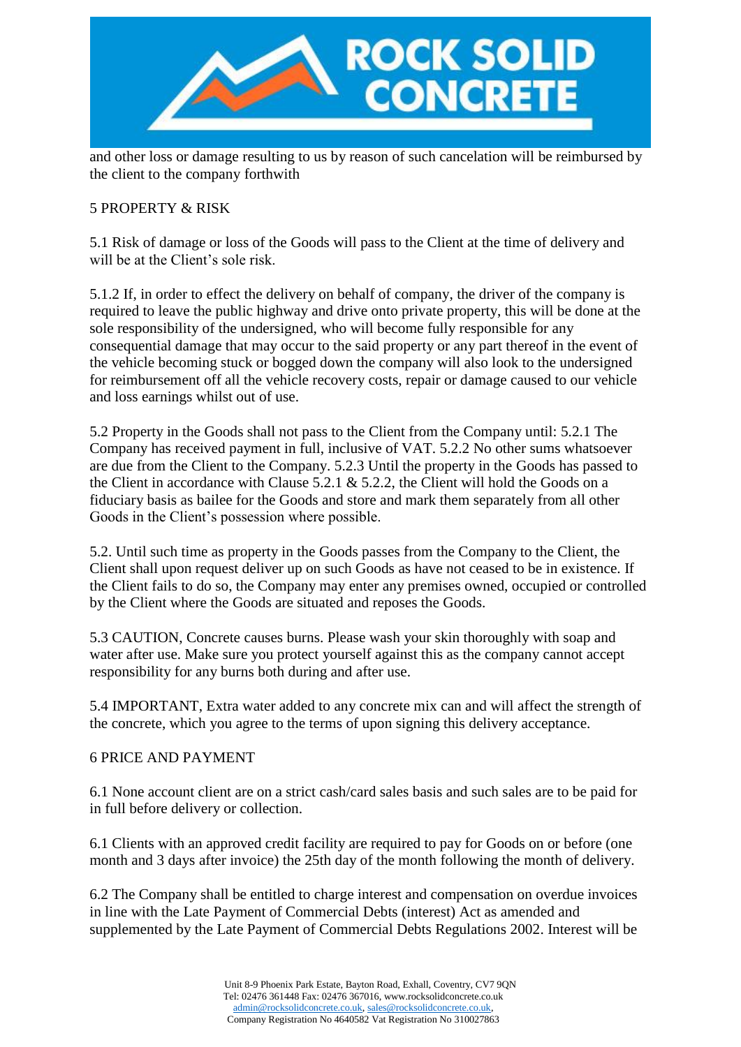

and other loss or damage resulting to us by reason of such cancelation will be reimbursed by the client to the company forthwith

# 5 PROPERTY & RISK

5.1 Risk of damage or loss of the Goods will pass to the Client at the time of delivery and will be at the Client's sole risk.

5.1.2 If, in order to effect the delivery on behalf of company, the driver of the company is required to leave the public highway and drive onto private property, this will be done at the sole responsibility of the undersigned, who will become fully responsible for any consequential damage that may occur to the said property or any part thereof in the event of the vehicle becoming stuck or bogged down the company will also look to the undersigned for reimbursement off all the vehicle recovery costs, repair or damage caused to our vehicle and loss earnings whilst out of use.

5.2 Property in the Goods shall not pass to the Client from the Company until: 5.2.1 The Company has received payment in full, inclusive of VAT. 5.2.2 No other sums whatsoever are due from the Client to the Company. 5.2.3 Until the property in the Goods has passed to the Client in accordance with Clause 5.2.1 & 5.2.2, the Client will hold the Goods on a fiduciary basis as bailee for the Goods and store and mark them separately from all other Goods in the Client's possession where possible.

5.2. Until such time as property in the Goods passes from the Company to the Client, the Client shall upon request deliver up on such Goods as have not ceased to be in existence. If the Client fails to do so, the Company may enter any premises owned, occupied or controlled by the Client where the Goods are situated and reposes the Goods.

5.3 CAUTION, Concrete causes burns. Please wash your skin thoroughly with soap and water after use. Make sure you protect yourself against this as the company cannot accept responsibility for any burns both during and after use.

5.4 IMPORTANT, Extra water added to any concrete mix can and will affect the strength of the concrete, which you agree to the terms of upon signing this delivery acceptance.

### 6 PRICE AND PAYMENT

6.1 None account client are on a strict cash/card sales basis and such sales are to be paid for in full before delivery or collection.

6.1 Clients with an approved credit facility are required to pay for Goods on or before (one month and 3 days after invoice) the 25th day of the month following the month of delivery.

6.2 The Company shall be entitled to charge interest and compensation on overdue invoices in line with the Late Payment of Commercial Debts (interest) Act as amended and supplemented by the Late Payment of Commercial Debts Regulations 2002. Interest will be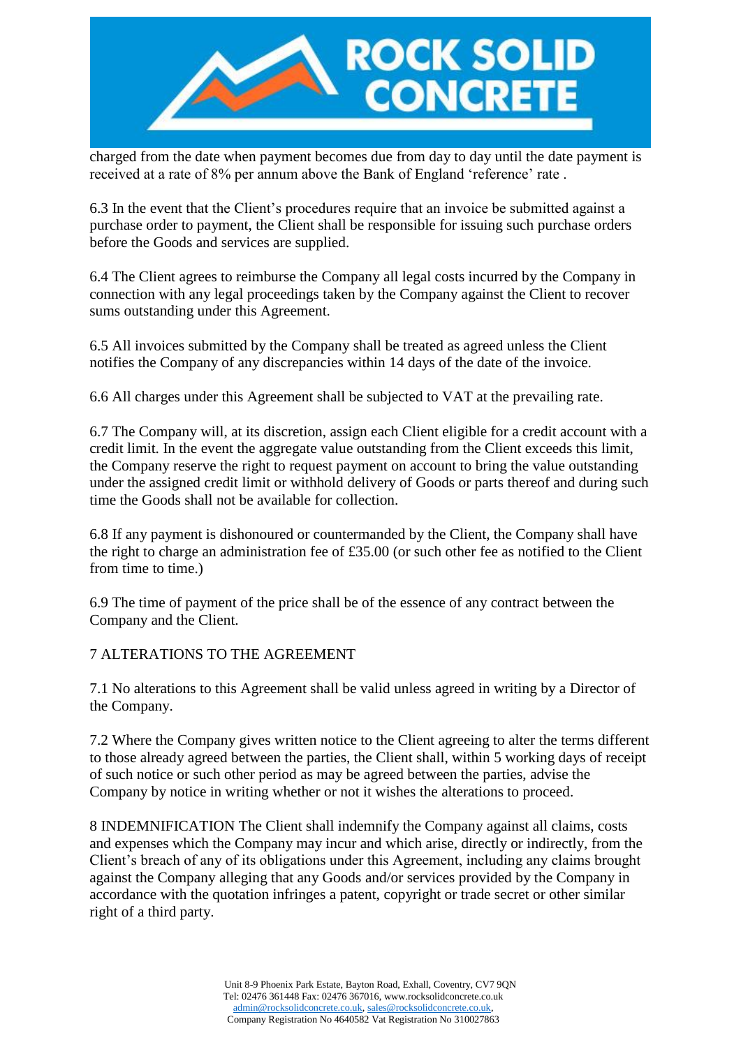

charged from the date when payment becomes due from day to day until the date payment is received at a rate of 8% per annum above the Bank of England 'reference' rate .

6.3 In the event that the Client's procedures require that an invoice be submitted against a purchase order to payment, the Client shall be responsible for issuing such purchase orders before the Goods and services are supplied.

6.4 The Client agrees to reimburse the Company all legal costs incurred by the Company in connection with any legal proceedings taken by the Company against the Client to recover sums outstanding under this Agreement.

6.5 All invoices submitted by the Company shall be treated as agreed unless the Client notifies the Company of any discrepancies within 14 days of the date of the invoice.

6.6 All charges under this Agreement shall be subjected to VAT at the prevailing rate.

6.7 The Company will, at its discretion, assign each Client eligible for a credit account with a credit limit. In the event the aggregate value outstanding from the Client exceeds this limit, the Company reserve the right to request payment on account to bring the value outstanding under the assigned credit limit or withhold delivery of Goods or parts thereof and during such time the Goods shall not be available for collection.

6.8 If any payment is dishonoured or countermanded by the Client, the Company shall have the right to charge an administration fee of £35.00 (or such other fee as notified to the Client from time to time.)

6.9 The time of payment of the price shall be of the essence of any contract between the Company and the Client.

7 ALTERATIONS TO THE AGREEMENT

7.1 No alterations to this Agreement shall be valid unless agreed in writing by a Director of the Company.

7.2 Where the Company gives written notice to the Client agreeing to alter the terms different to those already agreed between the parties, the Client shall, within 5 working days of receipt of such notice or such other period as may be agreed between the parties, advise the Company by notice in writing whether or not it wishes the alterations to proceed.

8 INDEMNIFICATION The Client shall indemnify the Company against all claims, costs and expenses which the Company may incur and which arise, directly or indirectly, from the Client's breach of any of its obligations under this Agreement, including any claims brought against the Company alleging that any Goods and/or services provided by the Company in accordance with the quotation infringes a patent, copyright or trade secret or other similar right of a third party.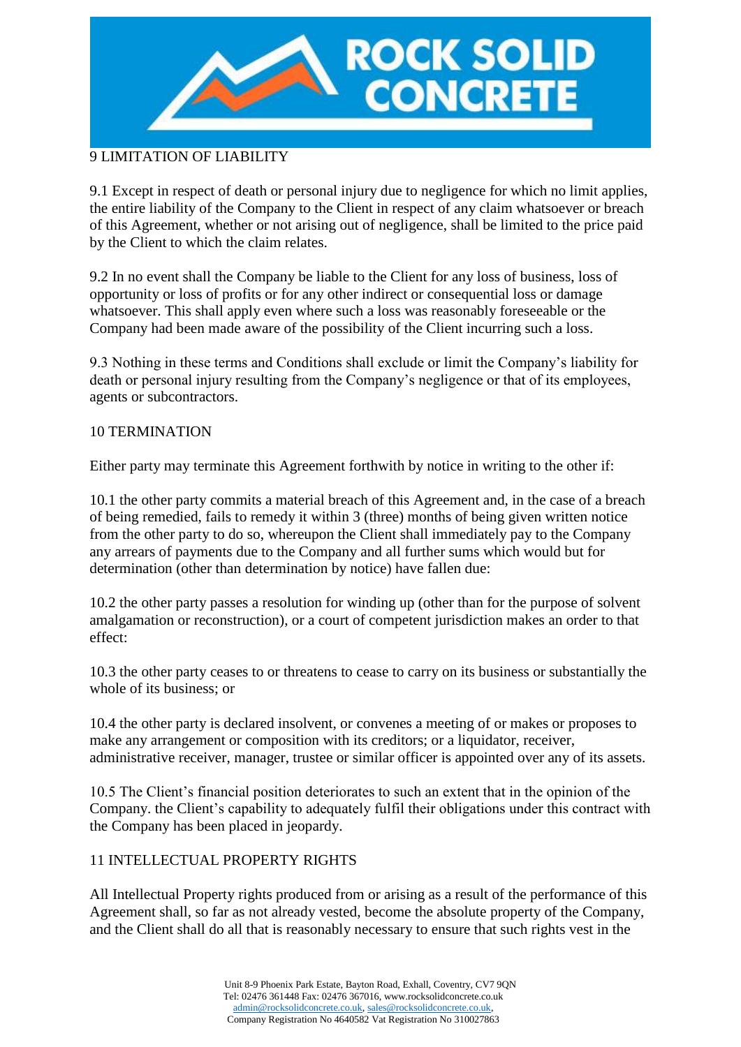

# 9 LIMITATION OF LIABILITY

9.1 Except in respect of death or personal injury due to negligence for which no limit applies, the entire liability of the Company to the Client in respect of any claim whatsoever or breach of this Agreement, whether or not arising out of negligence, shall be limited to the price paid by the Client to which the claim relates.

9.2 In no event shall the Company be liable to the Client for any loss of business, loss of opportunity or loss of profits or for any other indirect or consequential loss or damage whatsoever. This shall apply even where such a loss was reasonably foreseeable or the Company had been made aware of the possibility of the Client incurring such a loss.

9.3 Nothing in these terms and Conditions shall exclude or limit the Company's liability for death or personal injury resulting from the Company's negligence or that of its employees, agents or subcontractors.

### 10 TERMINATION

Either party may terminate this Agreement forthwith by notice in writing to the other if:

10.1 the other party commits a material breach of this Agreement and, in the case of a breach of being remedied, fails to remedy it within 3 (three) months of being given written notice from the other party to do so, whereupon the Client shall immediately pay to the Company any arrears of payments due to the Company and all further sums which would but for determination (other than determination by notice) have fallen due:

10.2 the other party passes a resolution for winding up (other than for the purpose of solvent amalgamation or reconstruction), or a court of competent jurisdiction makes an order to that effect:

10.3 the other party ceases to or threatens to cease to carry on its business or substantially the whole of its business; or

10.4 the other party is declared insolvent, or convenes a meeting of or makes or proposes to make any arrangement or composition with its creditors; or a liquidator, receiver, administrative receiver, manager, trustee or similar officer is appointed over any of its assets.

10.5 The Client's financial position deteriorates to such an extent that in the opinion of the Company. the Client's capability to adequately fulfil their obligations under this contract with the Company has been placed in jeopardy.

# 11 INTELLECTUAL PROPERTY RIGHTS

All Intellectual Property rights produced from or arising as a result of the performance of this Agreement shall, so far as not already vested, become the absolute property of the Company, and the Client shall do all that is reasonably necessary to ensure that such rights vest in the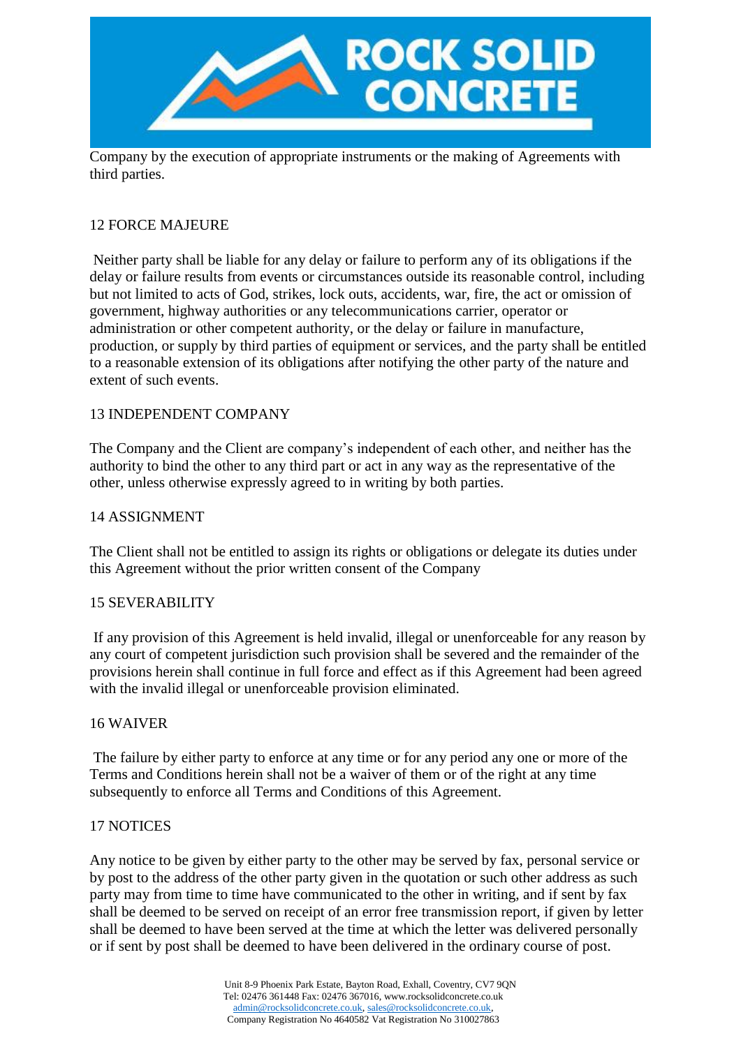

Company by the execution of appropriate instruments or the making of Agreements with third parties.

# 12 FORCE MAJEURE

Neither party shall be liable for any delay or failure to perform any of its obligations if the delay or failure results from events or circumstances outside its reasonable control, including but not limited to acts of God, strikes, lock outs, accidents, war, fire, the act or omission of government, highway authorities or any telecommunications carrier, operator or administration or other competent authority, or the delay or failure in manufacture, production, or supply by third parties of equipment or services, and the party shall be entitled to a reasonable extension of its obligations after notifying the other party of the nature and extent of such events.

### 13 INDEPENDENT COMPANY

The Company and the Client are company's independent of each other, and neither has the authority to bind the other to any third part or act in any way as the representative of the other, unless otherwise expressly agreed to in writing by both parties.

### 14 ASSIGNMENT

The Client shall not be entitled to assign its rights or obligations or delegate its duties under this Agreement without the prior written consent of the Company

### 15 SEVERABILITY

If any provision of this Agreement is held invalid, illegal or unenforceable for any reason by any court of competent jurisdiction such provision shall be severed and the remainder of the provisions herein shall continue in full force and effect as if this Agreement had been agreed with the invalid illegal or unenforceable provision eliminated.

#### 16 WAIVER

The failure by either party to enforce at any time or for any period any one or more of the Terms and Conditions herein shall not be a waiver of them or of the right at any time subsequently to enforce all Terms and Conditions of this Agreement.

#### 17 NOTICES

Any notice to be given by either party to the other may be served by fax, personal service or by post to the address of the other party given in the quotation or such other address as such party may from time to time have communicated to the other in writing, and if sent by fax shall be deemed to be served on receipt of an error free transmission report, if given by letter shall be deemed to have been served at the time at which the letter was delivered personally or if sent by post shall be deemed to have been delivered in the ordinary course of post.